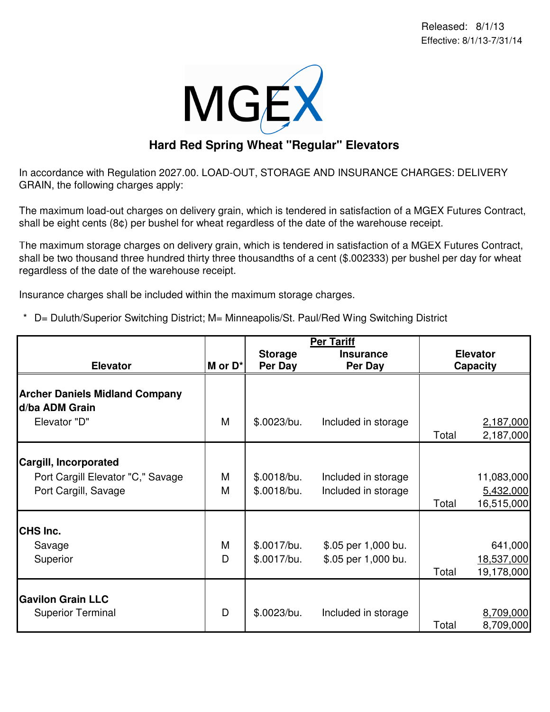

## **Hard Red Spring Wheat "Regular" Elevators**

In accordance with Regulation 2027.00. LOAD-OUT, STORAGE AND INSURANCE CHARGES: DELIVERY GRAIN, the following charges apply:

The maximum load-out charges on delivery grain, which is tendered in satisfaction of a MGEX Futures Contract, shall be eight cents (8¢) per bushel for wheat regardless of the date of the warehouse receipt.

The maximum storage charges on delivery grain, which is tendered in satisfaction of a MGEX Futures Contract, shall be two thousand three hundred thirty three thousandths of a cent (\$.002333) per bushel per day for wheat regardless of the date of the warehouse receipt.

Insurance charges shall be included within the maximum storage charges.

\* D= Duluth/Superior Switching District; M= Minneapolis/St. Paul/Red Wing Switching District

|                                                         |              | <b>Per Tariff</b>         |                             |                 |                        |
|---------------------------------------------------------|--------------|---------------------------|-----------------------------|-----------------|------------------------|
| <b>Elevator</b>                                         | $M$ or $D^*$ | <b>Storage</b><br>Per Day | <b>Insurance</b><br>Per Day | <b>Elevator</b> |                        |
|                                                         |              |                           |                             | Capacity        |                        |
| <b>Archer Daniels Midland Company</b><br>d/ba ADM Grain |              |                           |                             |                 |                        |
| Elevator "D"                                            | M            | \$.0023/bu.               | Included in storage         | Total           | 2,187,000<br>2,187,000 |
| <b>Cargill, Incorporated</b>                            |              |                           |                             |                 |                        |
| Port Cargill Elevator "C," Savage                       | M            | \$.0018/bu.               | Included in storage         |                 | 11,083,000             |
| Port Cargill, Savage                                    | M            | \$.0018/bu.               | Included in storage         |                 | 5,432,000              |
|                                                         |              |                           |                             | Total           | 16,515,000             |
| CHS Inc.                                                |              |                           |                             |                 |                        |
| Savage                                                  | M            | \$.0017/bu.               | \$.05 per 1,000 bu.         |                 | 641,000                |
| Superior                                                | D            | \$.0017/bu.               | \$.05 per 1,000 bu.         |                 | 18,537,000             |
|                                                         |              |                           |                             | Total           | 19,178,000             |
| <b>Gavilon Grain LLC</b>                                |              |                           |                             |                 |                        |
| <b>Superior Terminal</b>                                | D            | \$.0023/bu.               | Included in storage         |                 | 8,709,000              |
|                                                         |              |                           |                             | Total           | 8,709,000              |